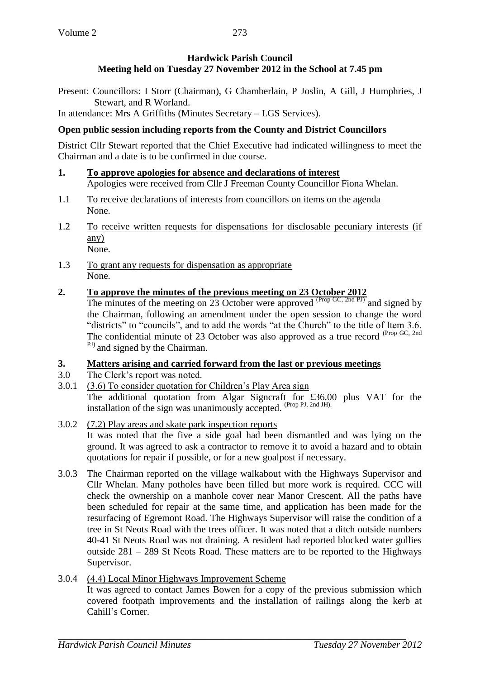Present: Councillors: I Storr (Chairman), G Chamberlain, P Joslin, A Gill, J Humphries, J Stewart, and R Worland.

In attendance: Mrs A Griffiths (Minutes Secretary – LGS Services).

### **Open public session including reports from the County and District Councillors**

District Cllr Stewart reported that the Chief Executive had indicated willingness to meet the Chairman and a date is to be confirmed in due course.

- **1. To approve apologies for absence and declarations of interest** Apologies were received from Cllr J Freeman County Councillor Fiona Whelan.
- 1.1 To receive declarations of interests from councillors on items on the agenda None.
- 1.2 To receive written requests for dispensations for disclosable pecuniary interests (if any) None.
- 1.3 To grant any requests for dispensation as appropriate None.
- **2. To approve the minutes of the previous meeting on 23 October 2012**

The minutes of the meeting on 23 October were approved  $(\text{Prop GC}, \text{2nd PI})$  and signed by the Chairman, following an amendment under the open session to change the word "districts" to "councils", and to add the words "at the Church" to the title of Item 3.6. The confidential minute of 23 October was also approved as a true record (Prop GC, 2nd <sup>PJ)</sup> and signed by the Chairman.

### **3. Matters arising and carried forward from the last or previous meetings**

- 3.0 The Clerk's report was noted.
- 3.0.1 (3.6) To consider quotation for Children's Play Area sign The additional quotation from Algar Signcraft for £36.00 plus VAT for the installation of the sign was unanimously accepted. (Prop PJ, 2nd JH).
- 3.0.2 (7.2) Play areas and skate park inspection reports It was noted that the five a side goal had been dismantled and was lying on the ground. It was agreed to ask a contractor to remove it to avoid a hazard and to obtain quotations for repair if possible, or for a new goalpost if necessary.
- 3.0.3 The Chairman reported on the village walkabout with the Highways Supervisor and Cllr Whelan. Many potholes have been filled but more work is required. CCC will check the ownership on a manhole cover near Manor Crescent. All the paths have been scheduled for repair at the same time, and application has been made for the resurfacing of Egremont Road. The Highways Supervisor will raise the condition of a tree in St Neots Road with the trees officer. It was noted that a ditch outside numbers 40-41 St Neots Road was not draining. A resident had reported blocked water gullies outside 281 – 289 St Neots Road. These matters are to be reported to the Highways Supervisor.
- 3.0.4 (4.4) Local Minor Highways Improvement Scheme It was agreed to contact James Bowen for a copy of the previous submission which covered footpath improvements and the installation of railings along the kerb at Cahill's Corner.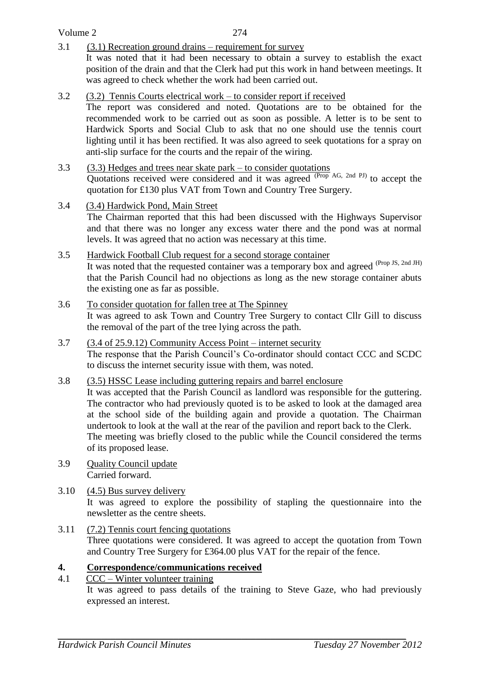Volume 2

3.1 (3.1) Recreation ground drains – requirement for survey

It was noted that it had been necessary to obtain a survey to establish the exact position of the drain and that the Clerk had put this work in hand between meetings. It was agreed to check whether the work had been carried out.

# 3.2 (3.2) Tennis Courts electrical work – to consider report if received

The report was considered and noted. Quotations are to be obtained for the recommended work to be carried out as soon as possible. A letter is to be sent to Hardwick Sports and Social Club to ask that no one should use the tennis court lighting until it has been rectified. It was also agreed to seek quotations for a spray on anti-slip surface for the courts and the repair of the wiring.

#### 3.3 (3.3) Hedges and trees near skate park – to consider quotations

Quotations received were considered and it was agreed <sup>(Prop AG, 2nd PJ)</sup> to accept the quotation for £130 plus VAT from Town and Country Tree Surgery.

3.4 (3.4) Hardwick Pond, Main Street

The Chairman reported that this had been discussed with the Highways Supervisor and that there was no longer any excess water there and the pond was at normal levels. It was agreed that no action was necessary at this time.

### 3.5 Hardwick Football Club request for a second storage container It was noted that the requested container was a temporary box and agreed (Prop JS, 2nd JH) that the Parish Council had no objections as long as the new storage container abuts the existing one as far as possible.

### 3.6 To consider quotation for fallen tree at The Spinney It was agreed to ask Town and Country Tree Surgery to contact Cllr Gill to discuss the removal of the part of the tree lying across the path.

- 3.7 (3.4 of 25.9.12) Community Access Point internet security The response that the Parish Council's Co-ordinator should contact CCC and SCDC to discuss the internet security issue with them, was noted.
- 3.8 (3.5) HSSC Lease including guttering repairs and barrel enclosure

It was accepted that the Parish Council as landlord was responsible for the guttering. The contractor who had previously quoted is to be asked to look at the damaged area at the school side of the building again and provide a quotation. The Chairman undertook to look at the wall at the rear of the pavilion and report back to the Clerk. The meeting was briefly closed to the public while the Council considered the terms of its proposed lease.

3.9 Quality Council update Carried forward.

# 3.10 (4.5) Bus survey delivery It was agreed to explore the possibility of stapling the questionnaire into the newsletter as the centre sheets.

3.11 (7.2) Tennis court fencing quotations Three quotations were considered. It was agreed to accept the quotation from Town and Country Tree Surgery for £364.00 plus VAT for the repair of the fence.

# **4. Correspondence/communications received**

4.1 CCC – Winter volunteer training

It was agreed to pass details of the training to Steve Gaze, who had previously expressed an interest.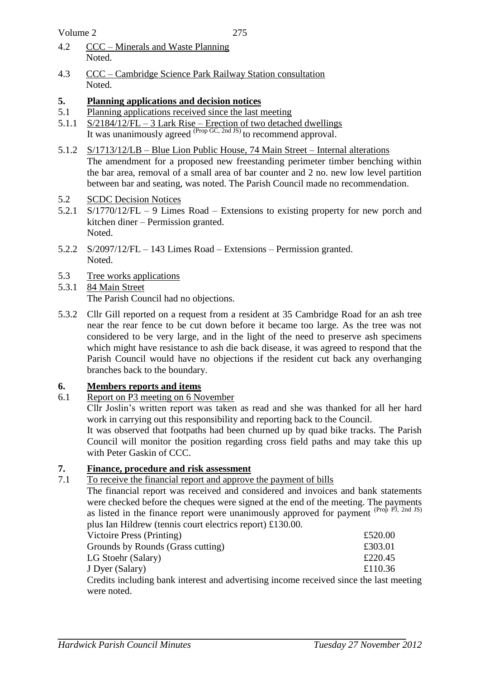- 4.2 CCC Minerals and Waste Planning Noted.
- 4.3 CCC Cambridge Science Park Railway Station consultation Noted.

# **5. Planning applications and decision notices**

- 5.1 Planning applications received since the last meeting
- 5.1.1 S/2184/12/FL 3 Lark Rise Erection of two detached dwellings It was unanimously agreed <sup>(Prop GC, 2nd JS)</sup> to recommend approval.
- 5.1.2 S/1713/12/LB Blue Lion Public House, 74 Main Street Internal alterations The amendment for a proposed new freestanding perimeter timber benching within the bar area, removal of a small area of bar counter and 2 no. new low level partition between bar and seating, was noted. The Parish Council made no recommendation.
- 5.2 SCDC Decision Notices
- 5.2.1 S/1770/12/FL 9 Limes Road Extensions to existing property for new porch and kitchen diner – Permission granted. Noted.
- 5.2.2 S/2097/12/FL 143 Limes Road Extensions Permission granted. Noted.
- 5.3 Tree works applications
- 5.3.1 84 Main Street The Parish Council had no objections.
- 5.3.2 Cllr Gill reported on a request from a resident at 35 Cambridge Road for an ash tree near the rear fence to be cut down before it became too large. As the tree was not considered to be very large, and in the light of the need to preserve ash specimens which might have resistance to ash die back disease, it was agreed to respond that the Parish Council would have no objections if the resident cut back any overhanging branches back to the boundary.

# **6. Members reports and items**

6.1 Report on P3 meeting on 6 November

Cllr Joslin's written report was taken as read and she was thanked for all her hard work in carrying out this responsibility and reporting back to the Council.

It was observed that footpaths had been churned up by quad bike tracks. The Parish Council will monitor the position regarding cross field paths and may take this up with Peter Gaskin of CCC.

# **7. Finance, procedure and risk assessment**

# 7.1 To receive the financial report and approve the payment of bills

The financial report was received and considered and invoices and bank statements were checked before the cheques were signed at the end of the meeting. The payments as listed in the finance report were unanimously approved for payment  $(Proj PJ, 2nd JS)$ plus Ian Hildrew (tennis court electrics report) £130.00.

| Victoire Press (Printing)                                                              | £520.00 |
|----------------------------------------------------------------------------------------|---------|
| Grounds by Rounds (Grass cutting)                                                      | £303.01 |
| LG Stoehr (Salary)                                                                     | £220.45 |
| J Dyer (Salary)                                                                        | £110.36 |
| Credits including bank interest and advertising income received since the last meeting |         |
| were noted.                                                                            |         |